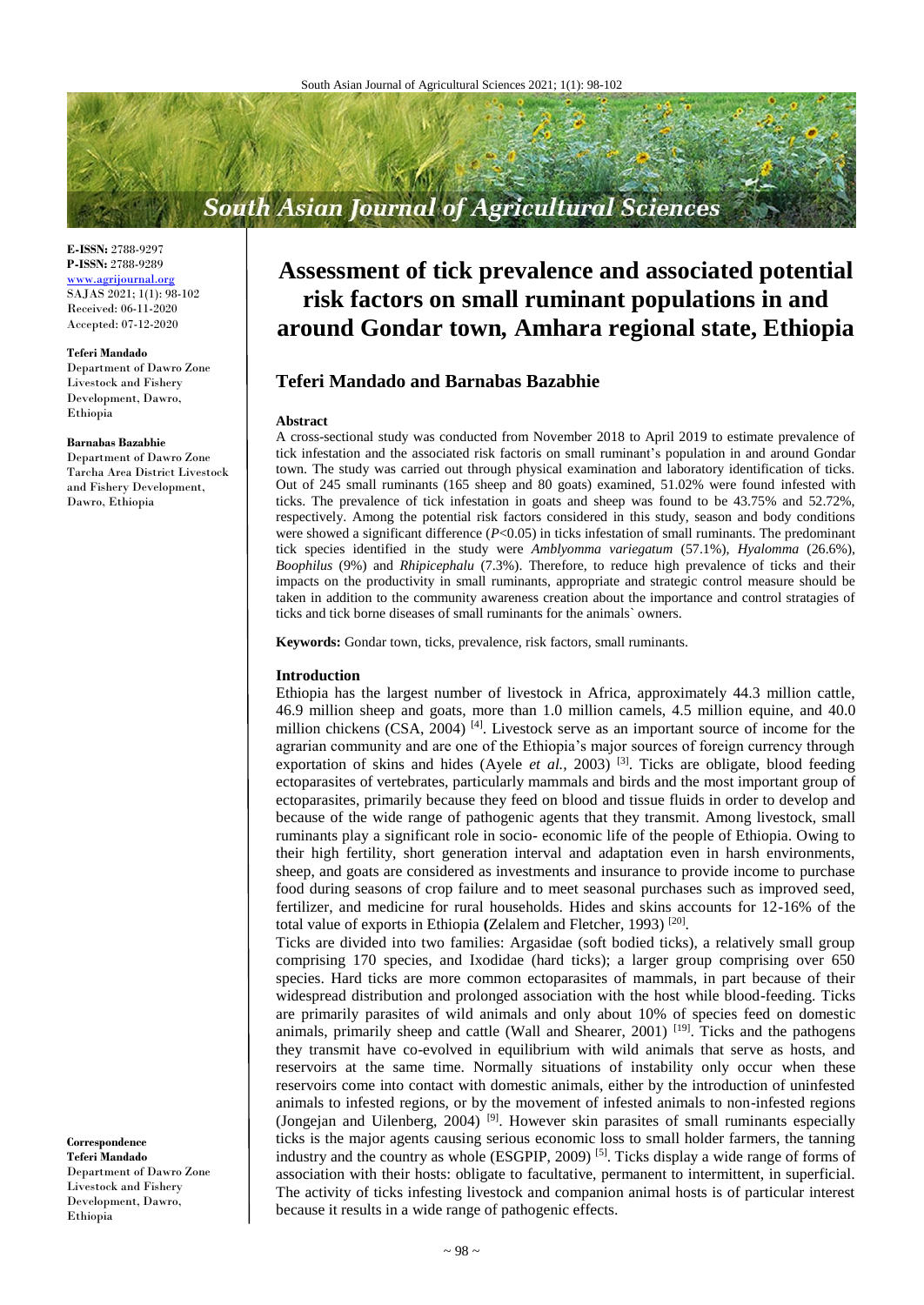# **South Asian Journal of Agricultural Sciences**

**E-ISSN:** 2788-9297 **P-ISSN:** 2788-9289 [www.agrijournal.org](file://///SERVER/d/Agriculture%20journals%20all/South%20Asian%20Journal%20of%20Agricultural%20Sciences/issue/1%20Vol/2%20Issue/www.agrijournal.org) SAJAS 2021; 1(1): 98-102 Received: 06-11-2020 Accepted: 07-12-2020

#### **Teferi Mandado**

Department of Dawro Zone Livestock and Fishery Development, Dawro, Ethiopia

#### **Barnabas Bazabhie**

Department of Dawro Zone Tarcha Area District Livestock and Fishery Development, Dawro, Ethiopia

**Correspondence Teferi Mandado** Department of Dawro Zone Livestock and Fishery Development, Dawro, Ethiopia

# **Assessment of tick prevalence and associated potential risk factors on small ruminant populations in and around Gondar town***,* **Amhara regional state, Ethiopia**

# **Teferi Mandado and Barnabas Bazabhie**

#### **Abstract**

A cross-sectional study was conducted from November 2018 to April 2019 to estimate prevalence of tick infestation and the associated risk factoris on small ruminant's population in and around Gondar town. The study was carried out through physical examination and laboratory identification of ticks. Out of 245 small ruminants (165 sheep and 80 goats) examined, 51.02% were found infested with ticks. The prevalence of tick infestation in goats and sheep was found to be 43.75% and 52.72%, respectively. Among the potential risk factors considered in this study, season and body conditions were showed a significant difference (*P*<0.05) in ticks infestation of small ruminants. The predominant tick species identified in the study were *Amblyomma variegatum* (57.1%), *Hyalomma* (26.6%), *Boophilus* (9%) and *Rhipicephalu* (7.3%). Therefore, to reduce high prevalence of ticks and their impacts on the productivity in small ruminants, appropriate and strategic control measure should be taken in addition to the community awareness creation about the importance and control stratagies of ticks and tick borne diseases of small ruminants for the animals` owners.

**Keywords:** Gondar town, ticks, prevalence, risk factors, small ruminants.

## **Introduction**

Ethiopia has the largest number of livestock in Africa, approximately 44.3 million cattle, 46.9 million sheep and goats, more than 1.0 million camels, 4.5 million equine, and 40.0 million chickens (CSA, 2004)<sup>[4]</sup>. Livestock serve as an important source of income for the agrarian community and are one of the Ethiopia's major sources of foreign currency through exportation of skins and hides (Ayele *et al.*, 2003)<sup>[3]</sup>. Ticks are obligate, blood feeding ectoparasites of vertebrates, particularly mammals and birds and the most important group of ectoparasites, primarily because they feed on blood and tissue fluids in order to develop and because of the wide range of pathogenic agents that they transmit. Among livestock, small ruminants play a significant role in socio- economic life of the people of Ethiopia. Owing to their high fertility, short generation interval and adaptation even in harsh environments, sheep, and goats are considered as investments and insurance to provide income to purchase food during seasons of crop failure and to meet seasonal purchases such as improved seed, fertilizer, and medicine for rural households. Hides and skins accounts for 12-16% of the total value of exports in Ethiopia **(**Zelalem and Fletcher, 1993) [20] .

Ticks are divided into two families: Argasidae (soft bodied ticks), a relatively small group comprising 170 species, and Ixodidae (hard ticks); a larger group comprising over 650 species. Hard ticks are more common ectoparasites of mammals, in part because of their widespread distribution and prolonged association with the host while blood-feeding. Ticks are primarily parasites of wild animals and only about 10% of species feed on domestic animals, primarily sheep and cattle (Wall and Shearer, 2001)<sup>[19]</sup>. Ticks and the pathogens they transmit have co-evolved in equilibrium with wild animals that serve as hosts, and reservoirs at the same time. Normally situations of instability only occur when these reservoirs come into contact with domestic animals, either by the introduction of uninfested animals to infested regions, or by the movement of infested animals to non-infested regions (Jongejan and Uilenberg, 2004)<sup>[9]</sup>. However skin parasites of small ruminants especially ticks is the major agents causing serious economic loss to small holder farmers, the tanning industry and the country as whole (ESGPIP, 2009)<sup>[5]</sup>. Ticks display a wide range of forms of association with their hosts: obligate to facultative, permanent to intermittent, in superficial. The activity of ticks infesting livestock and companion animal hosts is of particular interest because it results in a wide range of pathogenic effects.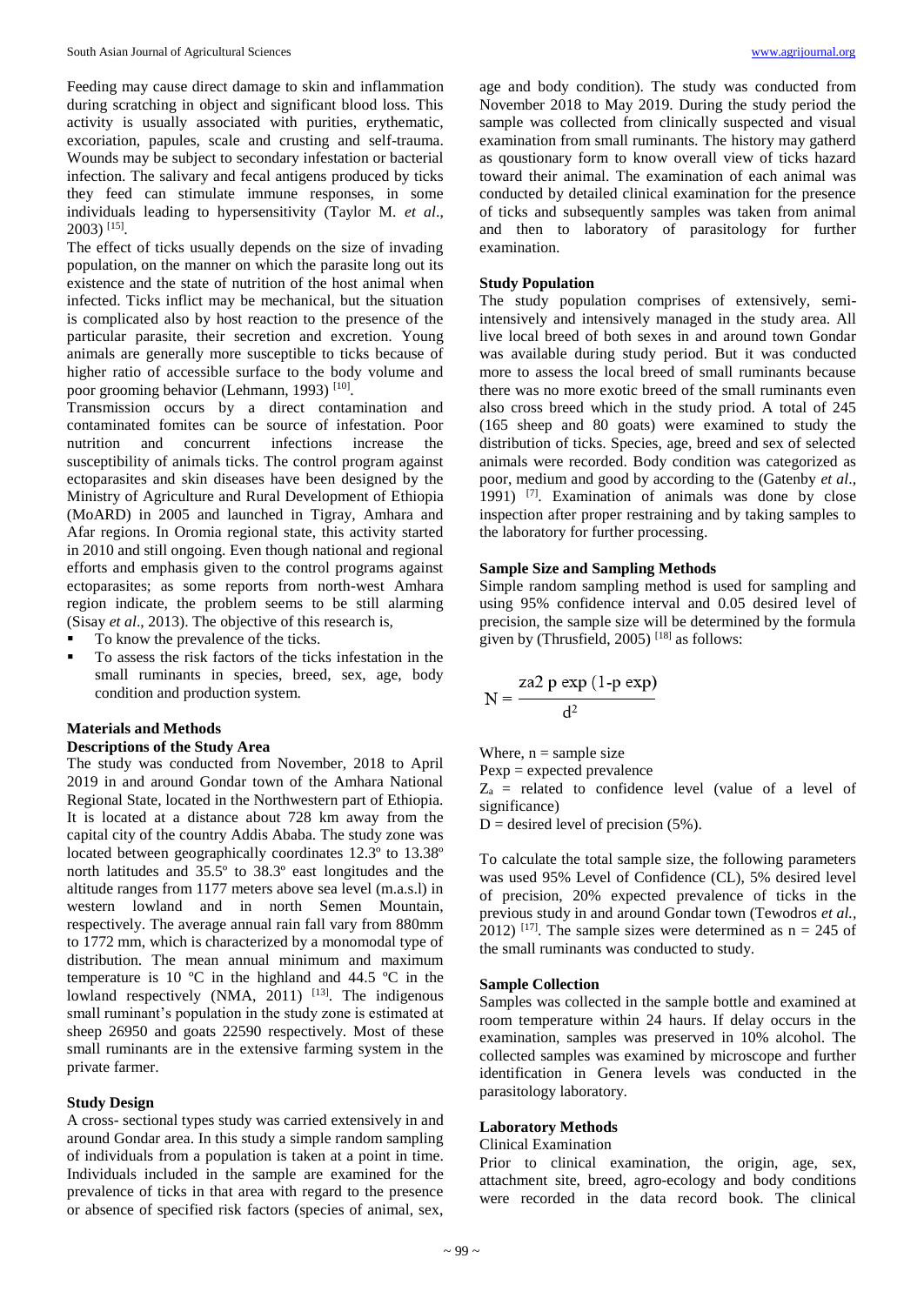Feeding may cause direct damage to skin and inflammation during scratching in object and significant blood loss. This activity is usually associated with purities, erythematic, excoriation, papules, scale and crusting and self-trauma. Wounds may be subject to secondary infestation or bacterial infection. The salivary and fecal antigens produced by ticks they feed can stimulate immune responses, in some individuals leading to hypersensitivity (Taylor M. *et al*., 2003) [15] .

The effect of ticks usually depends on the size of invading population, on the manner on which the parasite long out its existence and the state of nutrition of the host animal when infected. Ticks inflict may be mechanical, but the situation is complicated also by host reaction to the presence of the particular parasite, their secretion and excretion. Young animals are generally more susceptible to ticks because of higher ratio of accessible surface to the body volume and poor grooming behavior (Lehmann, 1993)<sup>[10]</sup>.

Transmission occurs by a direct contamination and contaminated fomites can be source of infestation. Poor nutrition and concurrent infections increase the susceptibility of animals ticks. The control program against ectoparasites and skin diseases have been designed by the Ministry of Agriculture and Rural Development of Ethiopia (MoARD) in 2005 and launched in Tigray, Amhara and Afar regions. In Oromia regional state, this activity started in 2010 and still ongoing. Even though national and regional efforts and emphasis given to the control programs against ectoparasites; as some reports from north-west Amhara region indicate, the problem seems to be still alarming (Sisay *et al*., 2013). The objective of this research is,

- To know the prevalence of the ticks.
- To assess the risk factors of the ticks infestation in the small ruminants in species, breed, sex, age, body condition and production system.

# **Materials and Methods**

## **Descriptions of the Study Area**

The study was conducted from November, 2018 to April 2019 in and around Gondar town of the Amhara National Regional State, located in the Northwestern part of Ethiopia. It is located at a distance about 728 km away from the capital city of the country Addis Ababa. The study zone was located between geographically coordinates 12.3º to 13.38º north latitudes and 35.5º to 38.3º east longitudes and the altitude ranges from 1177 meters above sea level (m.a.s.l) in western lowland and in north Semen Mountain, respectively. The average annual rain fall vary from 880mm to 1772 mm, which is characterized by a monomodal type of distribution. The mean annual minimum and maximum temperature is 10 ºC in the highland and 44.5 ºC in the lowland respectively  $(NMA, 2011)$ <sup>[13]</sup>. The indigenous small ruminant's population in the study zone is estimated at sheep 26950 and goats 22590 respectively. Most of these small ruminants are in the extensive farming system in the private farmer.

## **Study Design**

A cross- sectional types study was carried extensively in and around Gondar area. In this study a simple random sampling of individuals from a population is taken at a point in time. Individuals included in the sample are examined for the prevalence of ticks in that area with regard to the presence or absence of specified risk factors (species of animal, sex,

age and body condition). The study was conducted from November 2018 to May 2019. During the study period the sample was collected from clinically suspected and visual examination from small ruminants. The history may gatherd as qoustionary form to know overall view of ticks hazard toward their animal. The examination of each animal was conducted by detailed clinical examination for the presence of ticks and subsequently samples was taken from animal and then to laboratory of parasitology for further examination.

# **Study Population**

The study population comprises of extensively, semiintensively and intensively managed in the study area. All live local breed of both sexes in and around town Gondar was available during study period. But it was conducted more to assess the local breed of small ruminants because there was no more exotic breed of the small ruminants even also cross breed which in the study priod. A total of 245 (165 sheep and 80 goats) were examined to study the distribution of ticks. Species, age, breed and sex of selected animals were recorded. Body condition was categorized as poor, medium and good by according to the (Gatenby *et al*., 1991) [7] . Examination of animals was done by close inspection after proper restraining and by taking samples to the laboratory for further processing.

## **Sample Size and Sampling Methods**

Simple random sampling method is used for sampling and using 95% confidence interval and 0.05 desired level of precision, the sample size will be determined by the formula given by (Thrusfield, 2005)  $^{[18]}$  as follows:

$$
N = \frac{za2 p \exp (1-p \exp)}{d^2}
$$

Where,  $n =$  sample size

Pexp = expected prevalence

 $Z_a$  = related to confidence level (value of a level of significance)

 $D =$  desired level of precision (5%).

To calculate the total sample size, the following parameters was used 95% Level of Confidence (CL), 5% desired level of precision, 20% expected prevalence of ticks in the previous study in and around Gondar town (Tewodros *et al.,* 2012) <sup>[17]</sup>. The sample sizes were determined as  $n = 245$  of the small ruminants was conducted to study.

### **Sample Collection**

Samples was collected in the sample bottle and examined at room temperature within 24 haurs. If delay occurs in the examination, samples was preserved in 10% alcohol. The collected samples was examined by microscope and further identification in Genera levels was conducted in the parasitology laboratory.

# **Laboratory Methods**

## Clinical Examination

Prior to clinical examination, the origin, age, sex, attachment site, breed, agro-ecology and body conditions were recorded in the data record book. The clinical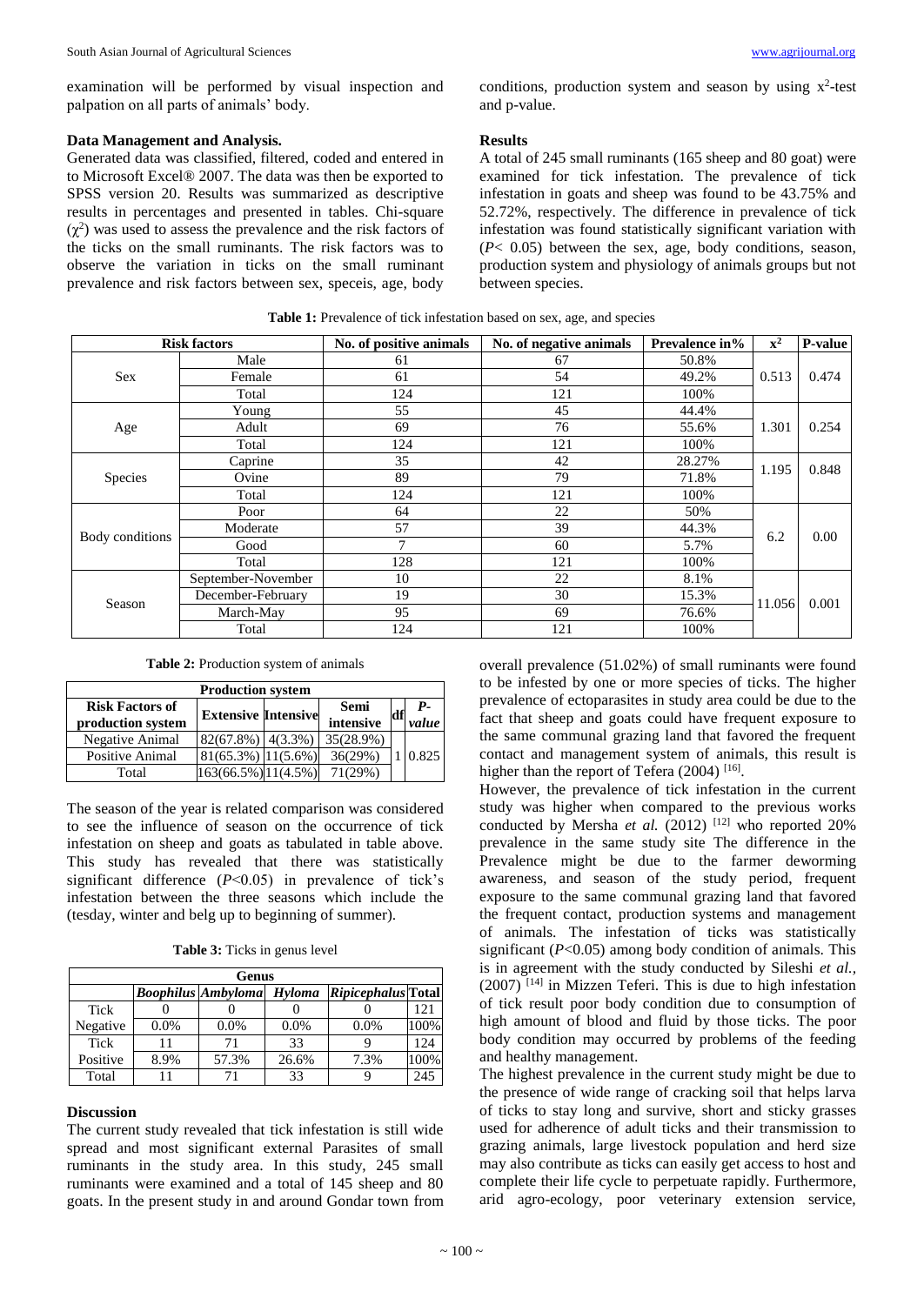examination will be performed by visual inspection and palpation on all parts of animals' body.

### **Data Management and Analysis.**

Generated data was classified, filtered, coded and entered in to Microsoft Excel® 2007. The data was then be exported to SPSS version 20. Results was summarized as descriptive results in percentages and presented in tables. Chi-square  $(\chi^2)$  was used to assess the prevalence and the risk factors of the ticks on the small ruminants. The risk factors was to observe the variation in ticks on the small ruminant prevalence and risk factors between sex, speceis, age, body conditions, production system and season by using  $x^2$ -test and p-value.

#### **Results**

A total of 245 small ruminants (165 sheep and 80 goat) were examined for tick infestation. The prevalence of tick infestation in goats and sheep was found to be 43.75% and 52.72%, respectively. The difference in prevalence of tick infestation was found statistically significant variation with (*P*< 0.05) between the sex, age, body conditions, season, production system and physiology of animals groups but not between species.

| <b>Risk factors</b> |                    | No. of positive animals | No. of negative animals | Prevalence in% | $\mathbf{x}^2$ | P-value |
|---------------------|--------------------|-------------------------|-------------------------|----------------|----------------|---------|
| <b>Sex</b>          | Male               | 61                      | 67                      | 50.8%          |                | 0.474   |
|                     | Female             | 61                      | 54                      | 49.2%          | 0.513          |         |
|                     | Total              | 124                     | 121                     | 100%           |                |         |
| Age                 | Young              | 55                      | 45                      | 44.4%          |                | 0.254   |
|                     | Adult              | 69                      | 76                      | 55.6%          | 1.301          |         |
|                     | Total              | 124                     | 121                     | 100%           |                |         |
| <b>Species</b>      | Caprine            | 35                      | 42                      | 28.27%         |                | 0.848   |
|                     | Ovine              | 89                      | 79                      | 71.8%          | 1.195          |         |
|                     | Total              | 124                     | 121                     | 100%           |                |         |
| Body conditions     | Poor               | 64                      | 22                      | 50%            |                | 0.00    |
|                     | Moderate           | 57                      | 39                      | 44.3%          |                |         |
|                     | Good               | 7                       | 60                      | 5.7%           | 6.2            |         |
|                     | Total              | 128                     | 121                     | 100%           |                |         |
| Season              | September-November | 10                      | 22                      | 8.1%           |                |         |
|                     | December-February  | 19                      | 30                      | 15.3%          | 11.056         | 0.001   |
|                     | March-May          | 95                      | 69                      | 76.6%          |                |         |
|                     | Total              | 124                     | 121                     | 100%           |                |         |

**Table 1:** Prevalence of tick infestation based on sex, age, and species

**Table 2:** Production system of animals

| <b>Production system</b>                    |                            |  |                   |    |             |  |  |  |
|---------------------------------------------|----------------------------|--|-------------------|----|-------------|--|--|--|
| <b>Risk Factors of</b><br>production system | <b>Extensive Intensive</b> |  | Semi<br>intensive | df | P-<br>value |  |  |  |
| Negative Animal                             | $82(67.8%)$ 4(3.3%)        |  | 35(28.9%)         |    |             |  |  |  |
| Positive Animal                             | $ 81(65.3\%) 11(5.6\%) $   |  | 36(29%)           |    | 0.825       |  |  |  |
| Total                                       | 163(66.5%) 11(4.5%)        |  | 71(29%)           |    |             |  |  |  |

The season of the year is related comparison was considered to see the influence of season on the occurrence of tick infestation on sheep and goats as tabulated in table above. This study has revealed that there was statistically significant difference  $(P<0.05)$  in prevalence of tick's infestation between the three seasons which include the (tesday, winter and belg up to beginning of summer).

**Table 3:** Ticks in genus level

| Genus    |         |                                  |       |                           |      |  |  |  |
|----------|---------|----------------------------------|-------|---------------------------|------|--|--|--|
|          |         | <b>Boophilus Ambyloma</b> Hyloma |       | <i>Ripicephalus</i> Total |      |  |  |  |
| Tick     |         |                                  |       |                           | 121  |  |  |  |
| Negative | $0.0\%$ | $0.0\%$                          | 0.0%  | $0.0\%$                   | 100% |  |  |  |
| Tick     | 11      | 71                               | 33    |                           | 124  |  |  |  |
| Positive | 8.9%    | 57.3%                            | 26.6% | 7.3%                      | 100% |  |  |  |
| Total    |         | 71                               | 33    |                           | 245  |  |  |  |

## **Discussion**

The current study revealed that tick infestation is still wide spread and most significant external Parasites of small ruminants in the study area. In this study, 245 small ruminants were examined and a total of 145 sheep and 80 goats. In the present study in and around Gondar town from

overall prevalence (51.02%) of small ruminants were found to be infested by one or more species of ticks. The higher prevalence of ectoparasites in study area could be due to the fact that sheep and goats could have frequent exposure to the same communal grazing land that favored the frequent contact and management system of animals, this result is higher than the report of Tefera (2004)<sup>[16]</sup>.

However, the prevalence of tick infestation in the current study was higher when compared to the previous works conducted by Mersha *et al.* (2012) <sup>[12]</sup> who reported 20% prevalence in the same study site The difference in the Prevalence might be due to the farmer deworming awareness, and season of the study period, frequent exposure to the same communal grazing land that favored the frequent contact, production systems and management of animals. The infestation of ticks was statistically significant (*P*<0.05) among body condition of animals. This is in agreement with the study conducted by Sileshi *et al.,* (2007) [14] in Mizzen Teferi. This is due to high infestation of tick result poor body condition due to consumption of high amount of blood and fluid by those ticks. The poor body condition may occurred by problems of the feeding and healthy management.

The highest prevalence in the current study might be due to the presence of wide range of cracking soil that helps larva of ticks to stay long and survive, short and sticky grasses used for adherence of adult ticks and their transmission to grazing animals, large livestock population and herd size may also contribute as ticks can easily get access to host and complete their life cycle to perpetuate rapidly. Furthermore, arid agro-ecology, poor veterinary extension service,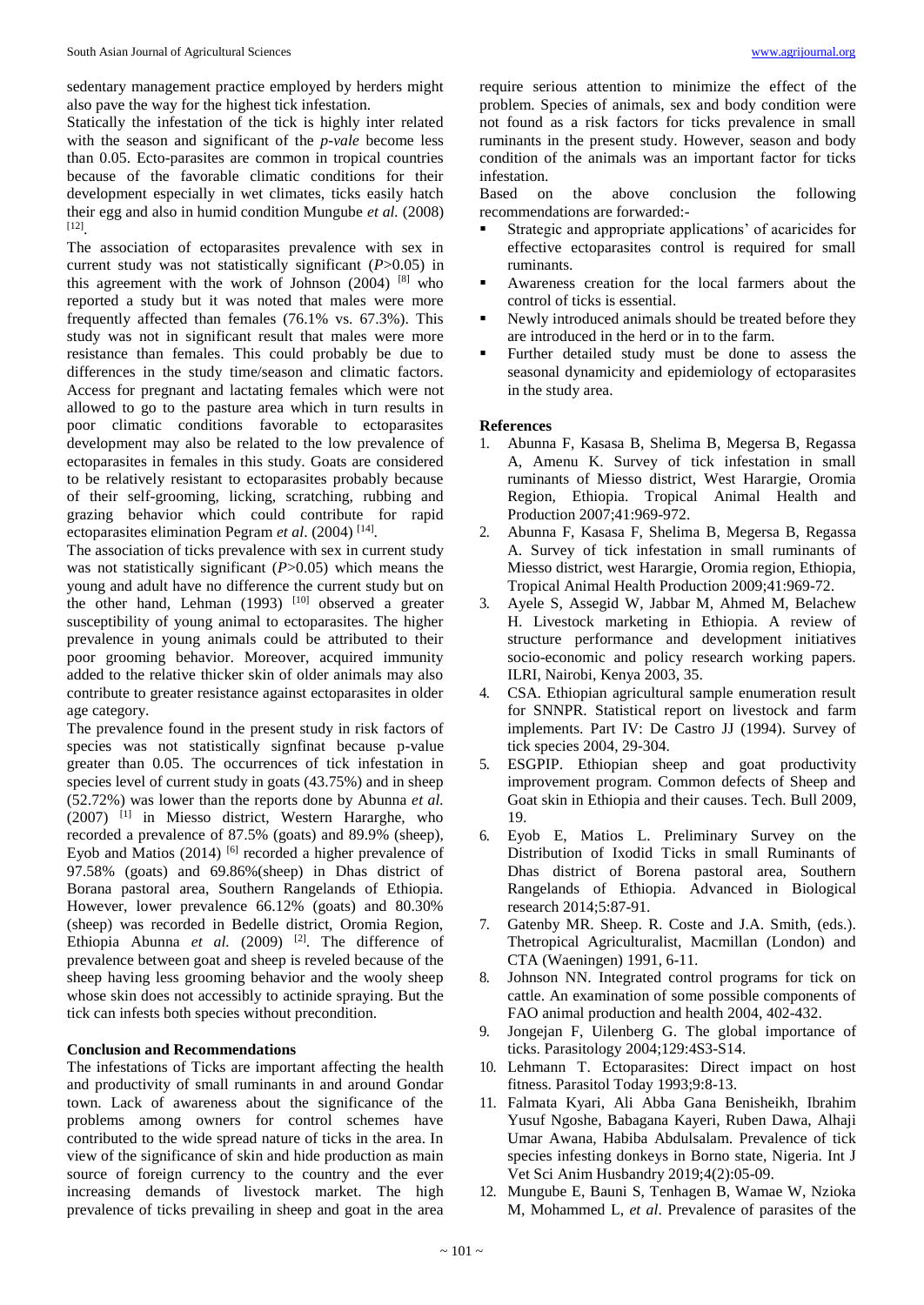sedentary management practice employed by herders might also pave the way for the highest tick infestation.

Statically the infestation of the tick is highly inter related with the season and significant of the *p-vale* become less than 0.05. Ecto-parasites are common in tropical countries because of the favorable climatic conditions for their development especially in wet climates, ticks easily hatch their egg and also in humid condition Mungube *et al.* (2008) [12] .

The association of ectoparasites prevalence with sex in current study was not statistically significant (*P*>0.05) in this agreement with the work of Johnson  $(2004)$  [8] who reported a study but it was noted that males were more frequently affected than females (76.1% vs. 67.3%). This study was not in significant result that males were more resistance than females. This could probably be due to differences in the study time/season and climatic factors. Access for pregnant and lactating females which were not allowed to go to the pasture area which in turn results in poor climatic conditions favorable to ectoparasites development may also be related to the low prevalence of ectoparasites in females in this study. Goats are considered to be relatively resistant to ectoparasites probably because of their self-grooming, licking, scratching, rubbing and grazing behavior which could contribute for rapid ectoparasites elimination Pegram et al. (2004)<sup>[14]</sup>.

The association of ticks prevalence with sex in current study was not statistically significant (*P*>0.05) which means the young and adult have no difference the current study but on the other hand, Lehman  $(1993)$   $[10]$  observed a greater susceptibility of young animal to ectoparasites. The higher prevalence in young animals could be attributed to their poor grooming behavior. Moreover, acquired immunity added to the relative thicker skin of older animals may also contribute to greater resistance against ectoparasites in older age category.

The prevalence found in the present study in risk factors of species was not statistically signfinat because p-value greater than 0.05. The occurrences of tick infestation in species level of current study in goats (43.75%) and in sheep (52.72%) was lower than the reports done by Abunna *et al.* (2007) [1] in Miesso district, Western Hararghe, who recorded a prevalence of 87.5% (goats) and 89.9% (sheep), Eyob and Matios (2014) <sup>[6]</sup> recorded a higher prevalence of 97.58% (goats) and 69.86%(sheep) in Dhas district of Borana pastoral area, Southern Rangelands of Ethiopia. However, lower prevalence 66.12% (goats) and 80.30% (sheep) was recorded in Bedelle district, Oromia Region, Ethiopia Abunna *et al.* (2009) <sup>[2]</sup>. The difference of prevalence between goat and sheep is reveled because of the sheep having less grooming behavior and the wooly sheep whose skin does not accessibly to actinide spraying. But the tick can infests both species without precondition.

## **Conclusion and Recommendations**

The infestations of Ticks are important affecting the health and productivity of small ruminants in and around Gondar town. Lack of awareness about the significance of the problems among owners for control schemes have contributed to the wide spread nature of ticks in the area. In view of the significance of skin and hide production as main source of foreign currency to the country and the ever increasing demands of livestock market. The high prevalence of ticks prevailing in sheep and goat in the area

require serious attention to minimize the effect of the problem. Species of animals, sex and body condition were not found as a risk factors for ticks prevalence in small ruminants in the present study. However, season and body condition of the animals was an important factor for ticks infestation.

Based on the above conclusion the following recommendations are forwarded:-

- Strategic and appropriate applications' of acaricides for effective ectoparasites control is required for small ruminants.
- Awareness creation for the local farmers about the control of ticks is essential.
- Newly introduced animals should be treated before they are introduced in the herd or in to the farm.
- Further detailed study must be done to assess the seasonal dynamicity and epidemiology of ectoparasites in the study area.

## **References**

- 1. Abunna F, Kasasa B, Shelima B, Megersa B, Regassa A, Amenu K. Survey of tick infestation in small ruminants of Miesso district, West Harargie, Oromia Region, Ethiopia. Tropical Animal Health and Production 2007;41:969-972.
- 2. Abunna F, Kasasa F, Shelima B, Megersa B, Regassa A. Survey of tick infestation in small ruminants of Miesso district, west Harargie, Oromia region, Ethiopia, Tropical Animal Health Production 2009;41:969-72.
- 3. Ayele S, Assegid W, Jabbar M, Ahmed M, Belachew H. Livestock marketing in Ethiopia. A review of structure performance and development initiatives socio-economic and policy research working papers. ILRI, Nairobi, Kenya 2003, 35.
- 4. CSA. Ethiopian agricultural sample enumeration result for SNNPR. Statistical report on livestock and farm implements. Part IV: De Castro JJ (1994). Survey of tick species 2004, 29-304.
- 5. ESGPIP. Ethiopian sheep and goat productivity improvement program. Common defects of Sheep and Goat skin in Ethiopia and their causes. Tech. Bull 2009, 19.
- 6. Eyob E, Matios L. Preliminary Survey on the Distribution of Ixodid Ticks in small Ruminants of Dhas district of Borena pastoral area, Southern Rangelands of Ethiopia. Advanced in Biological research 2014;5:87-91.
- 7. Gatenby MR. Sheep. R. Coste and J.A. Smith, (eds.). Thetropical Agriculturalist, Macmillan (London) and CTA (Waeningen) 1991, 6-11.
- 8. Johnson NN. Integrated control programs for tick on cattle. An examination of some possible components of FAO animal production and health 2004, 402-432.
- 9. Jongejan F, Uilenberg G. The global importance of ticks. Parasitology 2004;129:4S3-S14.
- 10. Lehmann T. Ectoparasites: Direct impact on host fitness. Parasitol Today 1993;9:8-13.
- 11. Falmata Kyari, Ali Abba Gana Benisheikh, Ibrahim Yusuf Ngoshe, Babagana Kayeri, Ruben Dawa, Alhaji Umar Awana, Habiba Abdulsalam. Prevalence of tick species infesting donkeys in Borno state, Nigeria. Int J Vet Sci Anim Husbandry 2019;4(2):05-09.
- 12. Mungube E, Bauni S, Tenhagen B, Wamae W, Nzioka M, Mohammed L, *et al*. Prevalence of parasites of the